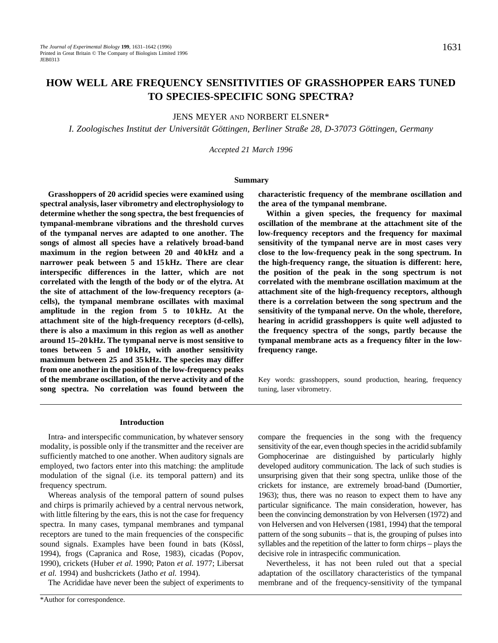# **HOW WELL ARE FREQUENCY SENSITIVITIES OF GRASSHOPPER EARS TUNED TO SPECIES-SPECIFIC SONG SPECTRA?**

JENS MEYER AND NORBERT ELSNER\*

*I. Zoologisches Institut der Universität Göttingen, Berliner Straße 28, D-37073 Göttingen, Germany*

*Accepted 21 March 1996*

#### **Summary**

**Grasshoppers of 20 acridid species were examined using spectral analysis, laser vibrometry and electrophysiology to determine whether the song spectra, the best frequencies of tympanal-membrane vibrations and the threshold curves of the tympanal nerves are adapted to one another. The songs of almost all species have a relatively broad-band maximum in the region between 20 and 40 kHz and a narrower peak between 5 and 15 kHz. There are clear interspecific differences in the latter, which are not correlated with the length of the body or of the elytra. At the site of attachment of the low-frequency receptors (acells), the tympanal membrane oscillates with maximal amplitude in the region from 5 to 10 kHz. At the attachment site of the high-frequency receptors (d-cells), there is also a maximum in this region as well as another around 15–20 kHz. The tympanal nerve is most sensitive to tones between 5 and 10 kHz, with another sensitivity maximum between 25 and 35 kHz. The species may differ from one another in the position of the low-frequency peaks of the membrane oscillation, of the nerve activity and of the song spectra. No correlation was found between the** **characteristic frequency of the membrane oscillation and the area of the tympanal membrane.**

**Within a given species, the frequency for maximal oscillation of the membrane at the attachment site of the low-frequency receptors and the frequency for maximal sensitivity of the tympanal nerve are in most cases very close to the low-frequency peak in the song spectrum. In the high-frequency range, the situation is different: here, the position of the peak in the song spectrum is not correlated with the membrane oscillation maximum at the attachment site of the high-frequency receptors, although there is a correlation between the song spectrum and the sensitivity of the tympanal nerve. On the whole, therefore, hearing in acridid grasshoppers is quite well adjusted to the frequency spectra of the songs, partly because the tympanal membrane acts as a frequency filter in the lowfrequency range.**

Key words: grasshoppers, sound production, hearing, frequency tuning, laser vibrometry.

#### **Introduction**

Intra- and interspecific communication, by whatever sensory modality, is possible only if the transmitter and the receiver are sufficiently matched to one another. When auditory signals are employed, two factors enter into this matching: the amplitude modulation of the signal (i.e. its temporal pattern) and its frequency spectrum.

Whereas analysis of the temporal pattern of sound pulses and chirps is primarily achieved by a central nervous network, with little filtering by the ears, this is not the case for frequency spectra. In many cases, tympanal membranes and tympanal receptors are tuned to the main frequencies of the conspecific sound signals. Examples have been found in bats (Kössl, 1994), frogs (Capranica and Rose, 1983), cicadas (Popov, 1990), crickets (Huber *et al.* 1990; Paton *et al.* 1977; Libersat *et al.* 1994) and bushcrickets (Jatho *et al.* 1994).

The Acrididae have never been the subject of experiments to

compare the frequencies in the song with the frequency sensitivity of the ear, even though species in the acridid subfamily Gomphocerinae are distinguished by particularly highly developed auditory communication. The lack of such studies is unsurprising given that their song spectra, unlike those of the crickets for instance, are extremely broad-band (Dumortier, 1963); thus, there was no reason to expect them to have any particular significance. The main consideration, however, has been the convincing demonstration by von Helversen (1972) and von Helversen and von Helversen (1981, 1994) that the temporal pattern of the song subunits – that is, the grouping of pulses into syllables and the repetition of the latter to form chirps – plays the decisive role in intraspecific communication.

Nevertheless, it has not been ruled out that a special adaptation of the oscillatory characteristics of the tympanal membrane and of the frequency-sensitivity of the tympanal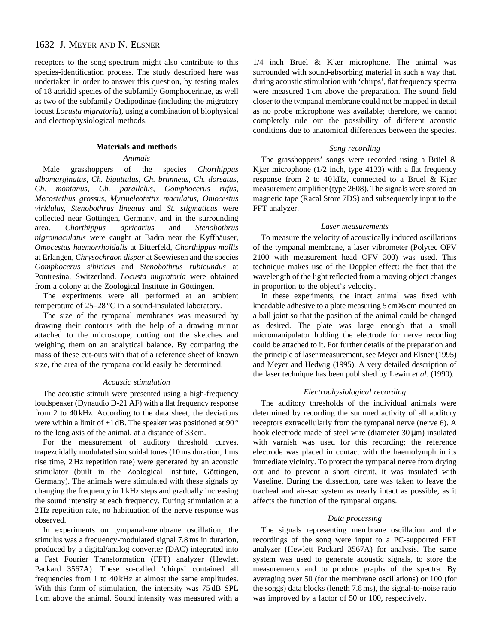receptors to the song spectrum might also contribute to this species-identification process. The study described here was undertaken in order to answer this question, by testing males of 18 acridid species of the subfamily Gomphocerinae, as well as two of the subfamily Oedipodinae (including the migratory locust *Locusta migratoria*), using a combination of biophysical and electrophysiological methods.

### **Materials and methods**

#### *Animals*

Male grasshoppers of the species *Chorthippus albomarginatus*, *Ch. biguttulus*, *Ch. brunneus*, *Ch. dorsatus*, *Ch. montanus*, *Ch. parallelus*, *Gomphocerus rufus*, *Mecostethus grossus*, *Myrmeleotettix maculatus*, *Omocestus viridulus*, *Stenobothrus lineatus* and *St. stigmaticus* were collected near Göttingen, Germany, and in the surrounding area. *Chorthippus apricarius* and *Stenobothrus nigromaculatus* were caught at Badra near the Kyffhäuser, *Omocestus haemorrhoidalis* at Bitterfeld, *Chorthippus mollis* at Erlangen, *Chrysochraon dispar* at Seewiesen and the species *Gomphocerus sibiricus* and *Stenobothrus rubicundus* at Pontresina, Switzerland. *Locusta migratoria* were obtained from a colony at the Zoological Institute in Göttingen.

The experiments were all performed at an ambient temperature of 25–28 °C in a sound-insulated laboratory.

The size of the tympanal membranes was measured by drawing their contours with the help of a drawing mirror attached to the microscope, cutting out the sketches and weighing them on an analytical balance. By comparing the mass of these cut-outs with that of a reference sheet of known size, the area of the tympana could easily be determined.

#### *Acoustic stimulation*

The acoustic stimuli were presented using a high-frequency loudspeaker (Dynaudio D-21 AF) with a flat frequency response from 2 to 40 kHz. According to the data sheet, the deviations were within a limit of  $\pm 1$  dB. The speaker was positioned at 90 $^{\circ}$ to the long axis of the animal, at a distance of 33 cm.

For the measurement of auditory threshold curves, trapezoidally modulated sinusoidal tones (10 ms duration, 1 ms rise time, 2 Hz repetition rate) were generated by an acoustic stimulator (built in the Zoological Institute, Göttingen, Germany). The animals were stimulated with these signals by changing the frequency in 1 kHz steps and gradually increasing the sound intensity at each frequency. During stimulation at a 2 Hz repetition rate, no habituation of the nerve response was observed.

In experiments on tympanal-membrane oscillation, the stimulus was a frequency-modulated signal 7.8 ms in duration, produced by a digital/analog converter (DAC) integrated into a Fast Fourier Transformation (FFT) analyzer (Hewlett Packard 3567A). These so-called 'chirps' contained all frequencies from 1 to 40 kHz at almost the same amplitudes. With this form of stimulation, the intensity was 75 dB SPL 1 cm above the animal. Sound intensity was measured with a

1/4 inch Brüel & Kjær microphone. The animal was surrounded with sound-absorbing material in such a way that, during acoustic stimulation with 'chirps', flat frequency spectra were measured 1 cm above the preparation. The sound field closer to the tympanal membrane could not be mapped in detail as no probe microphone was available; therefore, we cannot completely rule out the possibility of different acoustic conditions due to anatomical differences between the species.

### *Song recording*

The grasshoppers' songs were recorded using a Brüel & Kjær microphone (1/2 inch, type 4133) with a flat frequency response from 2 to 40 kHz, connected to a Brüel & Kjær measurement amplifier (type 2608). The signals were stored on magnetic tape (Racal Store 7DS) and subsequently input to the FFT analyzer.

#### *Laser measurements*

To measure the velocity of acoustically induced oscillations of the tympanal membrane, a laser vibrometer (Polytec OFV 2100 with measurement head OFV 300) was used. This technique makes use of the Doppler effect: the fact that the wavelength of the light reflected from a moving object changes in proportion to the object's velocity.

In these experiments, the intact animal was fixed with kneadable adhesive to a plate measuring 5 cm×5 cm mounted on a ball joint so that the position of the animal could be changed as desired. The plate was large enough that a small micromanipulator holding the electrode for nerve recording could be attached to it. For further details of the preparation and the principle of laser measurement, see Meyer and Elsner (1995) and Meyer and Hedwig (1995). A very detailed description of the laser technique has been published by Lewin *et al.* (1990).

#### *Electrophysiological recording*

The auditory thresholds of the individual animals were determined by recording the summed activity of all auditory receptors extracellularly from the tympanal nerve (nerve 6). A hook electrode made of steel wire (diameter  $30 \mu m$ ) insulated with varnish was used for this recording; the reference electrode was placed in contact with the haemolymph in its immediate vicinity. To protect the tympanal nerve from drying out and to prevent a short circuit, it was insulated with Vaseline. During the dissection, care was taken to leave the tracheal and air-sac system as nearly intact as possible, as it affects the function of the tympanal organs.

### *Data processing*

The signals representing membrane oscillation and the recordings of the song were input to a PC-supported FFT analyzer (Hewlett Packard 3567A) for analysis. The same system was used to generate acoustic signals, to store the measurements and to produce graphs of the spectra. By averaging over 50 (for the membrane oscillations) or 100 (for the songs) data blocks (length 7.8 ms), the signal-to-noise ratio was improved by a factor of 50 or 100, respectively.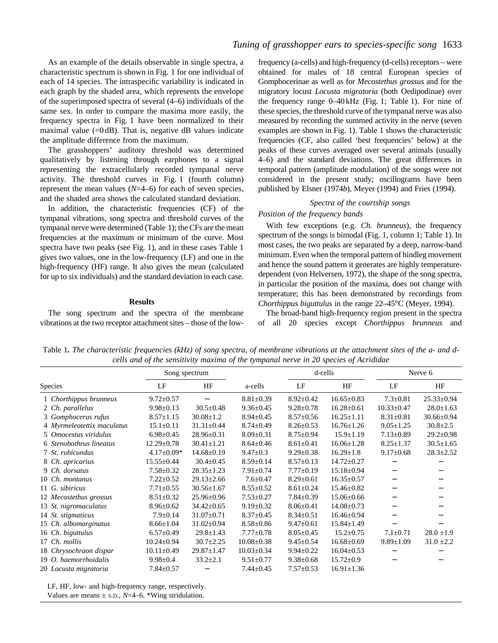As an example of the details observable in single spectra, a characteristic spectrum is shown in Fig. 1 for one individual of each of 14 species. The intraspecific variability is indicated in each graph by the shaded area, which represents the envelope of the superimposed spectra of several (4–6) individuals of the same sex. In order to compare the maxima more easily, the frequency spectra in Fig. 1 have been normalized to their maximal value  $(=0$  dB). That is, negative dB values indicate the amplitude difference from the maximum.

The grasshoppers' auditory threshold was determined qualitatively by listening through earphones to a signal representing the extracellularly recorded tympanal nerve activity. The threshold curves in Fig. 1 (fourth column) represent the mean values (*N*=4–6) for each of seven species, and the shaded area shows the calculated standard deviation.

In addition, the characteristic frequencies (CF) of the tympanal vibrations, song spectra and threshold curves of the tympanal nerve were determined (Table 1); the CFs are the mean frequencies at the maximum or minimum of the curve. Most spectra have two peaks (see Fig. 1), and in these cases Table 1 gives two values, one in the low-frequency (LF) and one in the high-frequency (HF) range. It also gives the mean (calculated for up to six individuals) and the standard deviation in each case.

#### **Results**

The song spectrum and the spectra of the membrane vibrations at the two receptor attachment sites – those of the low-

frequency (a-cells) and high-frequency (d-cells) receptors – were obtained for males of 18 central European species of Gomphocerinae as well as for *Mecostethus grossus* and for the migratory locust *Locusta migratoria* (both Oedipodinae) over the frequency range 0–40 kHz (Fig. 1; Table 1). For nine of these species, the threshold curve of the tympanal nerve was also measured by recording the summed activity in the nerve (seven examples are shown in Fig. 1). Table 1 shows the characteristic frequencies (CF, also called 'best frequencies' below) at the peaks of these curves averaged over several animals (usually 4–6) and the standard deviations. The great differences in temporal pattern (amplitude modulation) of the songs were not considered in the present study; oscillograms have been published by Elsner (1974*b*), Meyer (1994) and Fries (1994).

### *Spectra of the courtship songs*

### *Position of the frequency bands*

With few exceptions (e.g. *Ch. brunneus*), the frequency spectrum of the songs is bimodal (Fig. 1, column 1; Table 1). In most cases, the two peaks are separated by a deep, narrow-band minimum. Even when the temporal pattern of hindleg movement and hence the sound pattern it generates are highly temperaturedependent (von Helversen, 1972), the shape of the song spectra, in particular the position of the maxima, does not change with temperature; this has been demonstrated by recordings from *Chorthippus biguttulus* in the range 22–45°C (Meyer, 1994).

The broad-band high-frequency region present in the spectra of all 20 species except *Chorthippus brunneus* and

Table 1*. The characteristic frequencies (kHz) of song spectra, of membrane vibrations at the attachment sites of the a- and dcells and of the sensitivity maxima of the tympanal nerve in 20 species of Acrididae* 

|                            |                  | Song spectrum    |                  | d-cells         |                  | Nerve 6          |                  |
|----------------------------|------------------|------------------|------------------|-----------------|------------------|------------------|------------------|
| Species                    | LF               | HF               | a-cells          | LF              | HF               | LF               | HF               |
| 1 Chorthippus brunneus     | $9.72 \pm 0.57$  |                  | $8.81 \pm 0.39$  | $8.92 \pm 0.42$ | $16.65 \pm 0.83$ | $7.3 \pm 0.81$   | $25.33 \pm 0.94$ |
| 2 Ch. parallelus           | $9.98 \pm 0.13$  | $30.5 \pm 0.48$  | $9.36 \pm 0.45$  | $9.28 \pm 0.78$ | $16.28 \pm 0.61$ | $10.33 \pm 0.47$ | $28.0 \pm 1.63$  |
| 3 Gomphocerus rufus        | $8.57 \pm 1.15$  | $30.08 \pm 1.2$  | $8.94 \pm 0.45$  | $8.57 \pm 0.56$ | $16.25 \pm 1.11$ | $8.31 \pm 0.81$  | $30.66 \pm 0.94$ |
| 4 Myrmeleotettix maculatus | $15.1 \pm 0.11$  | $31.31 \pm 0.44$ | $8.74 \pm 0.49$  | $8.26 \pm 0.53$ | $16.76 \pm 1.26$ | $9.05 \pm 1.25$  | $30.8 \pm 2.5$   |
| 5 Omocestus viridulus      | $6.98 \pm 0.45$  | $28.96 \pm 0.31$ | $8.09 \pm 0.31$  | $8.75 \pm 0.94$ | $15.9 \pm 1.19$  | $7.13 \pm 0.89$  | $29.2 \pm 0.98$  |
| 6 Stenobothrus lineatus    | $12.29 \pm 0.78$ | $30.41 \pm 1.21$ | $8.64 \pm 0.46$  | $8.61 \pm 0.41$ | $16.06 \pm 1.28$ | $8.25 \pm 1.37$  | $30.5 \pm 1.65$  |
| 7 St. rubicundus           | $4.17 \pm 0.09*$ | $14.68 \pm 0.19$ | $9.47 \pm 0.3$   | $9.29 \pm 0.38$ | $16.29 \pm 1.8$  | $9.17 \pm 0.68$  | $28.3 \pm 2.52$  |
| 8 Ch. apricarius           | $15.55 \pm 0.44$ | $30.4 \pm 0.45$  | $8.59 \pm 0.14$  | $8.57 \pm 0.13$ | $14.72 \pm 0.27$ |                  |                  |
| 9 Ch. dorsatus             | $7.58 \pm 0.32$  | $28.35 \pm 1.23$ | $7.91 \pm 0.74$  | $7.77 \pm 0.19$ | $15.18 \pm 0.94$ |                  |                  |
| 10 Ch. montanus            | $7.22 \pm 0.52$  | $29.13 \pm 2.66$ | $7.6 \pm 0.47$   | $8.29 \pm 0.61$ | $16.35 \pm 0.57$ |                  |                  |
| 11 G. sibiricus            | $7.71 \pm 0.55$  | $30.56 \pm 1.67$ | $8.55 \pm 0.52$  | $8.61 \pm 0.24$ | $15.46 \pm 0.82$ | —                |                  |
| 12 Mecostethus grossus     | $8.51 \pm 0.32$  | $25.96 \pm 0.96$ | $7.53 \pm 0.27$  | $7.84 \pm 0.39$ | $15.06 \pm 0.66$ |                  |                  |
| 13 St. nigromaculatus      | $8.96 \pm 0.62$  | $34.42 \pm 0.65$ | $9.19 \pm 0.32$  | $8.06 \pm 0.41$ | $14.08 \pm 0.73$ |                  |                  |
| 14 St. stigmaticus         | $7.9 \pm 0.14$   | $31.07 \pm 0.71$ | $8.37 \pm 0.45$  | $8.34 \pm 0.51$ | $16.46 \pm 0.94$ |                  |                  |
| 15 Ch. albomarginatus      | $8.66 \pm 1.04$  | $31.02 \pm 0.94$ | $8.58 \pm 0.86$  | $9.47 \pm 0.61$ | $15.84 \pm 1.49$ |                  |                  |
| 16 Ch. biguttulus          | $6.57 \pm 0.49$  | $29.8 \pm 1.43$  | $7.77 \pm 0.78$  | $8.05 \pm 0.45$ | $15.2 \pm 0.75$  | $7.1 \pm 0.71$   | $28.0 \pm 1.9$   |
| 17 Ch. mollis              | $10.24 \pm 0.94$ | $30.7 \pm 2.25$  | $10.08 \pm 0.38$ | $9.45 \pm 0.54$ | $16.68 \pm 0.69$ | $9.89 \pm 1.09$  | $31.0 \pm 2.2$   |
| 18 Chrysochraon dispar     | $10.11 \pm 0.49$ | $29.87 \pm 1.47$ | $10.03 \pm 0.34$ | $9.94 \pm 0.22$ | $16.04 \pm 0.53$ |                  |                  |
| 19 O. haemorrhoidalis      | $9.98 \pm 0.4$   | $33.2 \pm 2.1$   | $9.51 \pm 0.77$  | $9.38 \pm 0.68$ | $15.72 \pm 0.9$  |                  |                  |
| 20 Locusta migratoria      | $7.84 \pm 0.57$  |                  | $7.44 \pm 0.45$  | $7.57 \pm 0.53$ | $16.91 \pm 1.36$ |                  |                  |

LF, HF, low- and high-frequency range, respectively.

Values are means  $\pm$  s.D.,  $N=4-6$ . \*Wing stridulation.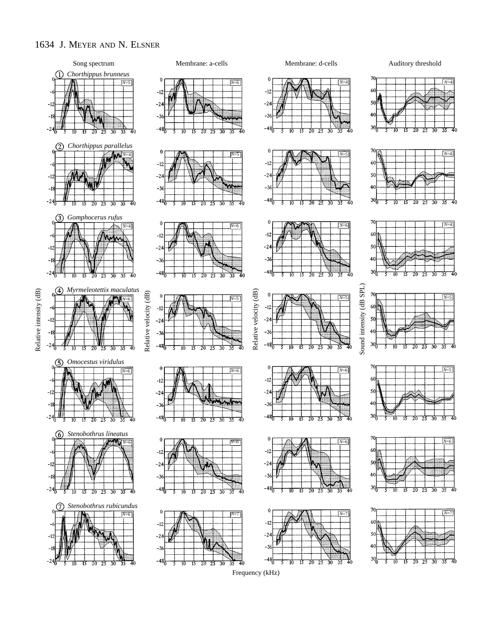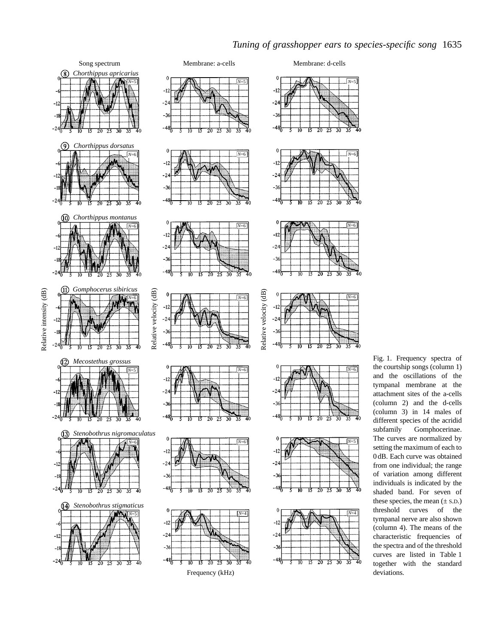

## *Tuning of grasshopper ears to species-specific song* 1635

Fig. 1. Frequency spectra of the courtship songs (column 1) and the oscillations of the tympanal membrane at the attachment sites of the a-cells (column 2) and the d-cells (column 3) in 14 males of different species of the acridid subfamily Gomphocerinae. The curves are normalized by setting the maximum of each to 0 dB. Each curve was obtained from one individual; the range of variation among different individuals is indicated by the shaded band. For seven of these species, the mean  $(\pm$  S.D.) threshold curves of the tympanal nerve are also shown (column 4). The means of the characteristic frequencies of the spectra and of the threshold curves are listed in Table 1 together with the standard deviations.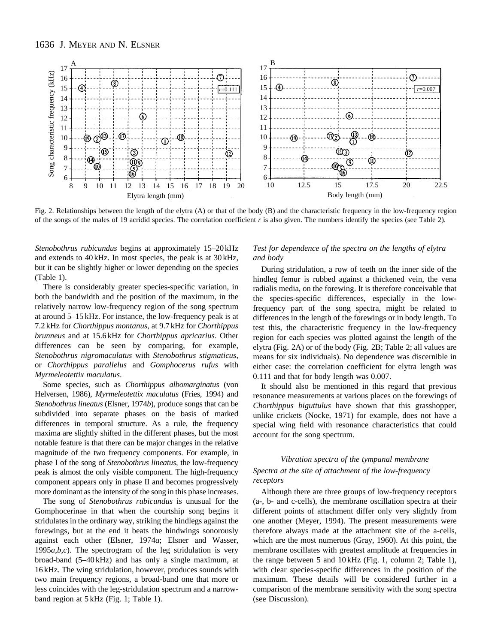

Fig. 2. Relationships between the length of the elytra (A) or that of the body (B) and the characteristic frequency in the low-frequency region of the songs of the males of 19 acridid species. The correlation coefficient *r* is also given. The numbers identify the species (see Table 2).

*Stenobothrus rubicundus* begins at approximately 15–20 kHz and extends to 40 kHz. In most species, the peak is at 30 kHz, but it can be slightly higher or lower depending on the species (Table 1).

There is considerably greater species-specific variation, in both the bandwidth and the position of the maximum, in the relatively narrow low-frequency region of the song spectrum at around 5–15 kHz. For instance, the low-frequency peak is at 7.2 kHz for *Chorthippus montanus*, at 9.7 kHz for *Chorthippus brunneus* and at 15.6 kHz for *Chorthippus apricarius*. Other differences can be seen by comparing, for example, *Stenobothrus nigromaculatus* with *Stenobothrus stigmaticus*, or *Chorthippus parallelus* and *Gomphocerus rufus* with *Myrmeleotettix maculatus*.

Some species, such as *Chorthippus albomarginatus* (von Helversen, 1986), *Myrmeleotettix maculatus* (Fries, 1994) and *Stenobothrus lineatus* (Elsner, 1974*b*), produce songs that can be subdivided into separate phases on the basis of marked differences in temporal structure. As a rule, the frequency maxima are slightly shifted in the different phases, but the most notable feature is that there can be major changes in the relative magnitude of the two frequency components. For example, in phase I of the song of *Stenobothrus lineatus*, the low-frequency peak is almost the only visible component. The high-frequency component appears only in phase II and becomes progressively more dominant as the intensity of the song in this phase increases.

The song of *Stenobothrus rubicundus* is unusual for the Gomphocerinae in that when the courtship song begins it stridulates in the ordinary way, striking the hindlegs against the forewings, but at the end it beats the hindwings sonorously against each other (Elsner, 1974*a*; Elsner and Wasser, 1995*a*,*b*,*c*). The spectrogram of the leg stridulation is very broad-band (5–40 kHz) and has only a single maximum, at 16 kHz. The wing stridulation, however, produces sounds with two main frequency regions, a broad-band one that more or less coincides with the leg-stridulation spectrum and a narrowband region at 5 kHz (Fig. 1; Table 1).

### *Test for dependence of the spectra on the lengths of elytra and body*

During stridulation, a row of teeth on the inner side of the hindleg femur is rubbed against a thickened vein, the vena radialis media, on the forewing. It is therefore conceivable that the species-specific differences, especially in the lowfrequency part of the song spectra, might be related to differences in the length of the forewings or in body length. To test this, the characteristic frequency in the low-frequency region for each species was plotted against the length of the elytra (Fig. 2A) or of the body (Fig. 2B; Table 2; all values are means for six individuals). No dependence was discernible in either case: the correlation coefficient for elytra length was 0.111 and that for body length was 0.007.

It should also be mentioned in this regard that previous resonance measurements at various places on the forewings of *Chorthippus biguttulus* have shown that this grasshopper, unlike crickets (Nocke, 1971) for example, does not have a special wing field with resonance characteristics that could account for the song spectrum.

### *Vibration spectra of the tympanal membrane Spectra at the site of attachment of the low-frequency receptors*

Although there are three groups of low-frequency receptors (a-, b- and c-cells), the membrane oscillation spectra at their different points of attachment differ only very slightly from one another (Meyer, 1994). The present measurements were therefore always made at the attachment site of the a-cells, which are the most numerous (Gray, 1960). At this point, the membrane oscillates with greatest amplitude at frequencies in the range between 5 and 10 kHz (Fig. 1, column 2; Table 1), with clear species-specific differences in the position of the maximum. These details will be considered further in a comparison of the membrane sensitivity with the song spectra (see Discussion).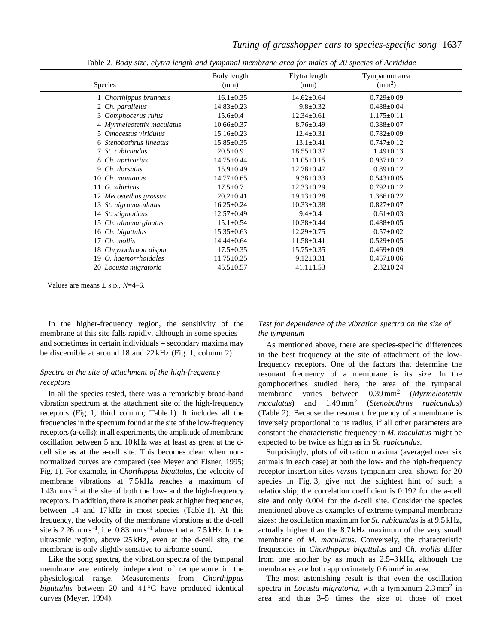| <b>Species</b>                      | Body length<br>(mm) | Elytra length<br>(mm) | Tympanum area<br>$\rm (mm^2)$ |  |
|-------------------------------------|---------------------|-----------------------|-------------------------------|--|
| 1 Chorthippus brunneus              | $16.1 \pm 0.35$     | $14.62 \pm 0.64$      | $0.729 \pm 0.09$              |  |
| 2 Ch. parallelus                    | $14.83 \pm 0.23$    | $9.8 \pm 0.32$        | $0.488 \pm 0.04$              |  |
| 3 Gomphocerus rufus                 | $15.6 \pm 0.4$      | $12.34 \pm 0.61$      | $1.175 \pm 0.11$              |  |
| 4 Myrmeleotettix maculatus          | $10.66 \pm 0.37$    | $8.76 \pm 0.49$       | $0.388 \pm 0.07$              |  |
| 5 Omocestus viridulus               | $15.16 \pm 0.23$    | $12.4 \pm 0.31$       | $0.782 \pm 0.09$              |  |
| 6 Stenobothrus lineatus             | $15.85 \pm 0.35$    | $13.1 \pm 0.41$       | $0.747 \pm 0.12$              |  |
| 7 St. rubicundus                    | $20.5 \pm 0.9$      | $18.55 \pm 0.37$      | $1.49 \pm 0.13$               |  |
| 8 Ch. apricarius                    | $14.75 \pm 0.44$    | $11.05 \pm 0.15$      | $0.937 \pm 0.12$              |  |
| Ch. dorsatus<br>9                   | $15.9 \pm 0.49$     | $12.78 \pm 0.47$      | $0.89 \pm 0.12$               |  |
| 10 Ch. montanus                     | $14.77 \pm 0.65$    | $9.38 \pm 0.33$       | $0.543 \pm 0.05$              |  |
| 11 G. sibiricus                     | $17.5 \pm 0.7$      | $12.33 \pm 0.29$      | $0.792 \pm 0.12$              |  |
| 12 Mecostethus grossus              | $20.2 \pm 0.41$     | $19.13 \pm 0.28$      | $1.366 \pm 0.22$              |  |
| 13 St. nigromaculatus               | $16.25 \pm 0.24$    | $10.33 \pm 0.38$      | $0.827 \pm 0.07$              |  |
| 14 St. stigmaticus                  | $12.57 \pm 0.49$    | $9.4 \pm 0.4$         | $0.61 \pm 0.03$               |  |
| 15 Ch. albomarginatus               | $15.1 \pm 0.54$     | $10.38 \pm 0.44$      | $0.488 \pm 0.05$              |  |
| 16 Ch. biguttulus                   | $15.35 \pm 0.63$    | $12.29 \pm 0.75$      | $0.57 \pm 0.02$               |  |
| 17 Ch. mollis                       | $14.44 \pm 0.64$    | $11.58 \pm 0.41$      | $0.529 \pm 0.05$              |  |
| 18 Chrysochraon dispar              | $17.5 \pm 0.35$     | $15.75 \pm 0.35$      | $0.469 \pm 0.09$              |  |
| 19 O. haemorrhoidales               | $11.75 \pm 0.25$    | $9.12 \pm 0.31$       | $0.457 \pm 0.06$              |  |
| 20 Locusta migratoria               | $45.5 \pm 0.57$     | $41.1 \pm 1.53$       | $2.32 \pm 0.24$               |  |
| Values are means $\pm$ s.p., N=4–6. |                     |                       |                               |  |

Table 2. *Body size, elytra length and tympanal membrane area for males of 20 species of Acrididae*

In the higher-frequency region, the sensitivity of the membrane at this site falls rapidly, although in some species – and sometimes in certain individuals – secondary maxima may

be discernible at around 18 and 22 kHz (Fig. 1, column 2).

### *Spectra at the site of attachment of the high-frequency receptors*

In all the species tested, there was a remarkably broad-band vibration spectrum at the attachment site of the high-frequency receptors (Fig. 1, third column; Table 1). It includes all the frequencies in the spectrum found at the site of the low-frequency receptors (a-cells): in all experiments, the amplitude of membrane oscillation between 5 and 10kHz was at least as great at the dcell site as at the a-cell site. This becomes clear when nonnormalized curves are compared (see Meyer and Elsner, 1995; Fig. 1). For example, in *Chorthippus biguttulus*, the velocity of membrane vibrations at 7.5kHz reaches a maximum of 1.43mms−<sup>1</sup> at the site of both the low- and the high-frequency receptors. In addition, there is another peak at higher frequencies, between 14 and 17kHz in most species (Table 1). At this frequency, the velocity of the membrane vibrations at the d-cell site is 2.26 mm s<sup>-1</sup>, i. e. 0.83 mm s<sup>-1</sup> above that at 7.5 kHz. In the ultrasonic region, above 25kHz, even at the d-cell site, the membrane is only slightly sensitive to airborne sound.

Like the song spectra, the vibration spectra of the tympanal membrane are entirely independent of temperature in the physiological range. Measurements from *Chorthippus biguttulus* between 20 and 41 °C have produced identical curves (Meyer, 1994).

### *Test for dependence of the vibration spectra on the size of the tympanum*

As mentioned above, there are species-specific differences in the best frequency at the site of attachment of the lowfrequency receptors. One of the factors that determine the resonant frequency of a membrane is its size. In the gomphocerines studied here, the area of the tympanal membrane varies between 0.39 mm2 (*Myrmeleotettix maculatus*) and 1.49 mm2 (*Stenobothrus rubicundus*) (Table 2). Because the resonant frequency of a membrane is inversely proportional to its radius, if all other parameters are constant the characteristic frequency in *M. maculatus* might be expected to be twice as high as in *St. rubicundus*.

Surprisingly, plots of vibration maxima (averaged over six animals in each case) at both the low- and the high-frequency receptor insertion sites *versus* tympanum area, shown for 20 species in Fig. 3, give not the slightest hint of such a relationship; the correlation coefficient is 0.192 for the a-cell site and only 0.004 for the d-cell site. Consider the species mentioned above as examples of extreme tympanal membrane sizes: the oscillation maximum for *St. rubicundus* is at 9.5 kHz, actually higher than the 8.7 kHz maximum of the very small membrane of *M. maculatus*. Conversely, the characteristic frequencies in *Chorthippus biguttulus* and *Ch. mollis* differ from one another by as much as 2.5–3 kHz, although the membranes are both approximately 0.6 mm<sup>2</sup> in area.

The most astonishing result is that even the oscillation spectra in *Locusta migratoria*, with a tympanum 2.3 mm<sup>2</sup> in area and thus 3–5 times the size of those of most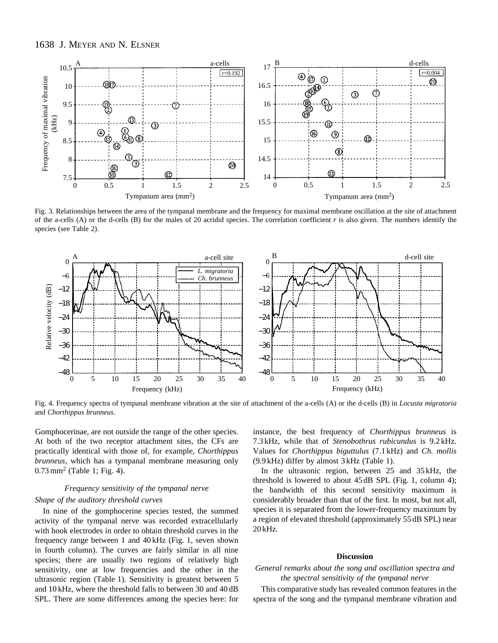

Fig. 3. Relationships between the area of the tympanal membrane and the frequency for maximal membrane oscillation at the site of attachment of the a-cells (A) or the d-cells (B) for the males of 20 acridid species. The correlation coefficient *r* is also given. The numbers identify the species (see Table 2).



Fig. 4. Frequency spectra of tympanal membrane vibration at the site of attachment of the a-cells (A) or the d-cells (B) in *Locusta migratoria* and *Chorthippus brunneus*.

Gomphocerinae, are not outside the range of the other species. At both of the two receptor attachment sites, the CFs are practically identical with those of, for example, *Chorthippus brunneus*, which has a tympanal membrane measuring only 0.73 mm<sup>2</sup> (Table 1; Fig. 4).

### *Frequency sensitivity of the tympanal nerve Shape of the auditory threshold curves*

In nine of the gomphocerine species tested, the summed activity of the tympanal nerve was recorded extracellularly with hook electrodes in order to obtain threshold curves in the frequency range between 1 and 40 kHz (Fig. 1, seven shown in fourth column). The curves are fairly similar in all nine species; there are usually two regions of relatively high sensitivity, one at low frequencies and the other in the ultrasonic region (Table 1). Sensitivity is greatest between 5 and 10 kHz, where the threshold falls to between 30 and 40 dB SPL. There are some differences among the species here: for instance, the best frequency of *Chorthippus brunneus* is 7.3 kHz, while that of *Stenobothrus rubicundus* is 9.2 kHz. Values for *Chorthippus biguttulus* (7.1 kHz) and *Ch. mollis* (9.9 kHz) differ by almost 3 kHz (Table 1).

In the ultrasonic region, between 25 and 35 kHz, the threshold is lowered to about 45 dB SPL (Fig. 1, column 4); the bandwidth of this second sensitivity maximum is considerably broader than that of the first. In most, but not all, species it is separated from the lower-frequency maximum by a region of elevated threshold (approximately 55 dB SPL) near 20 kHz.

### **Discussion**

### *General remarks about the song and oscillation spectra and the spectral sensitivity of the tympanal nerve*

This comparative study has revealed common features in the spectra of the song and the tympanal membrane vibration and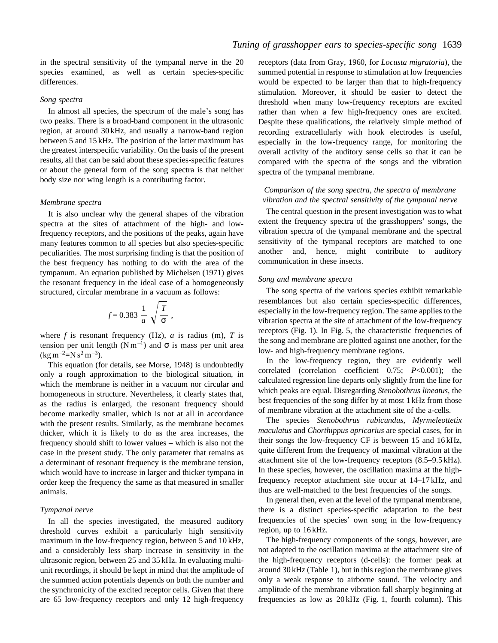in the spectral sensitivity of the tympanal nerve in the 20 species examined, as well as certain species-specific differences.

#### *Song spectra*

In almost all species, the spectrum of the male's song has two peaks. There is a broad-band component in the ultrasonic region, at around 30 kHz, and usually a narrow-band region between 5 and 15 kHz. The position of the latter maximum has the greatest interspecific variability. On the basis of the present results, all that can be said about these species-specific features or about the general form of the song spectra is that neither body size nor wing length is a contributing factor.

### *Membrane spectra*

It is also unclear why the general shapes of the vibration spectra at the sites of attachment of the high- and lowfrequency receptors, and the positions of the peaks, again have many features common to all species but also species-specific peculiarities. The most surprising finding is that the position of the best frequency has nothing to do with the area of the tympanum. An equation published by Michelsen (1971) gives the resonant frequency in the ideal case of a homogeneously structured, circular membrane in a vacuum as follows:

$$
f=0.383\ \frac{1}{a}\ \sqrt{\frac{T}{\sigma}}\ ,
$$

where  $f$  is resonant frequency (Hz),  $a$  is radius (m),  $T$  is tension per unit length ( $Nm^{-1}$ ) and  $\sigma$  is mass per unit area  $(\text{kg m}^{-2} = N \text{ s}^2 \text{ m}^{-3}).$ 

This equation (for details, see Morse, 1948) is undoubtedly only a rough approximation to the biological situation, in which the membrane is neither in a vacuum nor circular and homogeneous in structure. Nevertheless, it clearly states that, as the radius is enlarged, the resonant frequency should become markedly smaller, which is not at all in accordance with the present results. Similarly, as the membrane becomes thicker, which it is likely to do as the area increases, the frequency should shift to lower values – which is also not the case in the present study. The only parameter that remains as a determinant of resonant frequency is the membrane tension, which would have to increase in larger and thicker tympana in order keep the frequency the same as that measured in smaller animals.

### *Tympanal nerve*

In all the species investigated, the measured auditory threshold curves exhibit a particularly high sensitivity maximum in the low-frequency region, between 5 and 10 kHz, and a considerably less sharp increase in sensitivity in the ultrasonic region, between 25 and 35 kHz. In evaluating multiunit recordings, it should be kept in mind that the amplitude of the summed action potentials depends on both the number and the synchronicity of the excited receptor cells. Given that there are 65 low-frequency receptors and only 12 high-frequency

receptors (data from Gray, 1960, for *Locusta migratoria*), the summed potential in response to stimulation at low frequencies would be expected to be larger than that to high-frequency stimulation. Moreover, it should be easier to detect the threshold when many low-frequency receptors are excited rather than when a few high-frequency ones are excited. Despite these qualifications, the relatively simple method of recording extracellularly with hook electrodes is useful, especially in the low-frequency range, for monitoring the overall activity of the auditory sense cells so that it can be compared with the spectra of the songs and the vibration spectra of the tympanal membrane.

### *Comparison of the song spectra, the spectra of membrane vibration and the spectral sensitivity of the tympanal nerve*

The central question in the present investigation was to what extent the frequency spectra of the grasshoppers' songs, the vibration spectra of the tympanal membrane and the spectral sensitivity of the tympanal receptors are matched to one another and, hence, might contribute to auditory communication in these insects.

#### *Song and membrane spectra*

The song spectra of the various species exhibit remarkable resemblances but also certain species-specific differences, especially in the low-frequency region. The same applies to the vibration spectra at the site of attachment of the low-frequency receptors (Fig. 1). In Fig. 5, the characteristic frequencies of the song and membrane are plotted against one another, for the low- and high-frequency membrane regions.

In the low-frequency region, they are evidently well correlated (correlation coefficient 0.75; *P*<0.001); the calculated regression line departs only slightly from the line for which peaks are equal. Disregarding *Stenobothrus lineatus*, the best frequencies of the song differ by at most 1 kHz from those of membrane vibration at the attachment site of the a-cells.

The species *Stenobothrus rubicundus*, *Myrmeleottetix maculatus* and *Chorthippus apricarius* are special cases, for in their songs the low-frequency CF is between 15 and 16 kHz, quite different from the frequency of maximal vibration at the attachment site of the low-frequency receptors (8.5–9.5 kHz). In these species, however, the oscillation maxima at the highfrequency receptor attachment site occur at 14–17 kHz, and thus are well-matched to the best frequencies of the songs.

In general then, even at the level of the tympanal membrane, there is a distinct species-specific adaptation to the best frequencies of the species' own song in the low-frequency region, up to 16 kHz.

The high-frequency components of the songs, however, are not adapted to the oscillation maxima at the attachment site of the high-frequency receptors (d-cells): the former peak at around 30 kHz (Table 1), but in this region the membrane gives only a weak response to airborne sound. The velocity and amplitude of the membrane vibration fall sharply beginning at frequencies as low as 20 kHz (Fig. 1, fourth column). This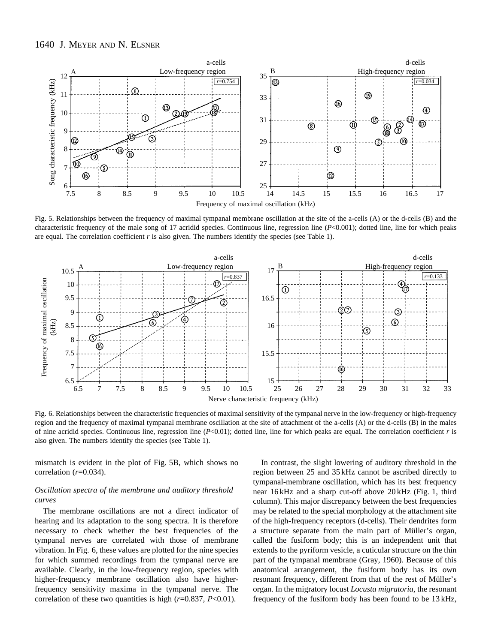

Fig. 5. Relationships between the frequency of maximal tympanal membrane oscillation at the site of the a-cells (A) or the d-cells (B) and the characteristic frequency of the male song of 17 acridid species. Continuous line, regression line (*P*<0.001); dotted line, line for which peaks are equal. The correlation coefficient *r* is also given. The numbers identify the species (see Table 1).



Fig. 6. Relationships between the characteristic frequencies of maximal sensitivity of the tympanal nerve in the low-frequency or high-frequency region and the frequency of maximal tympanal membrane oscillation at the site of attachment of the a-cells (A) or the d-cells (B) in the males of nine acridid species. Continuous line, regression line (*P*<0.01); dotted line, line for which peaks are equal. The correlation coefficient *r* is also given. The numbers identify the species (see Table 1).

mismatch is evident in the plot of Fig. 5B, which shows no correlation (*r*=0.034).

### *Oscillation spectra of the membrane and auditory threshold curves*

The membrane oscillations are not a direct indicator of hearing and its adaptation to the song spectra. It is therefore necessary to check whether the best frequencies of the tympanal nerves are correlated with those of membrane vibration. In Fig. 6, these values are plotted for the nine species for which summed recordings from the tympanal nerve are available. Clearly, in the low-frequency region, species with higher-frequency membrane oscillation also have higherfrequency sensitivity maxima in the tympanal nerve. The correlation of these two quantities is high (*r*=0.837, *P*<0.01).

In contrast, the slight lowering of auditory threshold in the region between 25 and 35 kHz cannot be ascribed directly to tympanal-membrane oscillation, which has its best frequency near 16 kHz and a sharp cut-off above 20 kHz (Fig. 1, third column). This major discrepancy between the best frequencies may be related to the special morphology at the attachment site of the high-frequency receptors (d-cells). Their dendrites form a structure separate from the main part of Müller's organ, called the fusiform body; this is an independent unit that extends to the pyriform vesicle, a cuticular structure on the thin part of the tympanal membrane (Gray, 1960). Because of this anatomical arrangement, the fusiform body has its own resonant frequency, different from that of the rest of Müller's organ. In the migratory locust *Locusta migratoria*, the resonant frequency of the fusiform body has been found to be 13 kHz,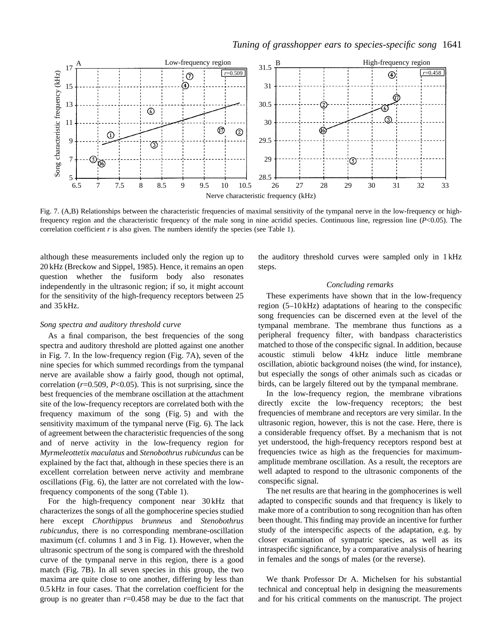

Fig. 7. (A,B) Relationships between the characteristic frequencies of maximal sensitivity of the tympanal nerve in the low-frequency or highfrequency region and the characteristic frequency of the male song in nine acridid species. Continuous line, regression line (*P*<0.05). The correlation coefficient  $r$  is also given. The numbers identify the species (see Table 1).

although these measurements included only the region up to 20 kHz (Breckow and Sippel, 1985). Hence, it remains an open question whether the fusiform body also resonates independently in the ultrasonic region; if so, it might account for the sensitivity of the high-frequency receptors between 25 and 35 kHz.

#### *Song spectra and auditory threshold curve*

As a final comparison, the best frequencies of the song spectra and auditory threshold are plotted against one another in Fig. 7. In the low-frequency region (Fig. 7A), seven of the nine species for which summed recordings from the tympanal nerve are available show a fairly good, though not optimal, correlation (*r*=0.509, *P*<0.05). This is not surprising, since the best frequencies of the membrane oscillation at the attachment site of the low-frequency receptors are correlated both with the frequency maximum of the song (Fig. 5) and with the sensitivity maximum of the tympanal nerve (Fig. 6). The lack of agreement between the characteristic frequencies of the song and of nerve activity in the low-frequency region for *Myrmeleottetix maculatus* and *Stenobothrus rubicundus* can be explained by the fact that, although in these species there is an excellent correlation between nerve activity and membrane oscillations (Fig. 6), the latter are not correlated with the lowfrequency components of the song (Table 1).

For the high-frequency component near 30 kHz that characterizes the songs of all the gomphocerine species studied here except *Chorthippus brunneus* and *Stenobothrus rubicundus*, there is no corresponding membrane-oscillation maximum (cf. columns 1 and 3 in Fig. 1). However, when the ultrasonic spectrum of the song is compared with the threshold curve of the tympanal nerve in this region, there is a good match (Fig. 7B). In all seven species in this group, the two maxima are quite close to one another, differing by less than 0.5 kHz in four cases. That the correlation coefficient for the group is no greater than *r*=0.458 may be due to the fact that the auditory threshold curves were sampled only in 1 kHz steps.

#### *Concluding remarks*

These experiments have shown that in the low-frequency region (5–10 kHz) adaptations of hearing to the conspecific song frequencies can be discerned even at the level of the tympanal membrane. The membrane thus functions as a peripheral frequency filter, with bandpass characteristics matched to those of the conspecific signal. In addition, because acoustic stimuli below 4 kHz induce little membrane oscillation, abiotic background noises (the wind, for instance), but especially the songs of other animals such as cicadas or birds, can be largely filtered out by the tympanal membrane.

In the low-frequency region, the membrane vibrations directly excite the low-frequency receptors; the best frequencies of membrane and receptors are very similar. In the ultrasonic region, however, this is not the case. Here, there is a considerable frequency offset. By a mechanism that is not yet understood, the high-frequency receptors respond best at frequencies twice as high as the frequencies for maximumamplitude membrane oscillation. As a result, the receptors are well adapted to respond to the ultrasonic components of the conspecific signal.

The net results are that hearing in the gomphocerines is well adapted to conspecific sounds and that frequency is likely to make more of a contribution to song recognition than has often been thought. This finding may provide an incentive for further study of the interspecific aspects of the adaptation, e.g. by closer examination of sympatric species, as well as its intraspecific significance, by a comparative analysis of hearing in females and the songs of males (or the reverse).

We thank Professor Dr A. Michelsen for his substantial technical and conceptual help in designing the measurements and for his critical comments on the manuscript. The project